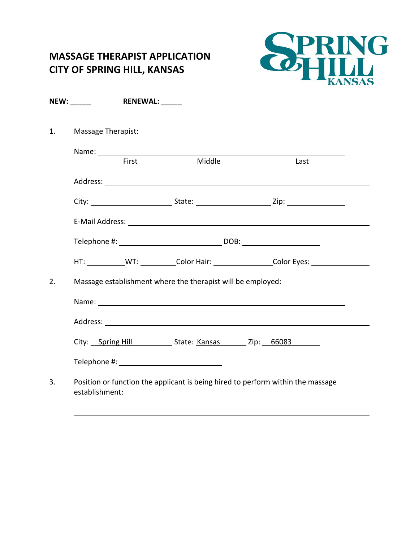## **MASSAGE THERAPIST APPLICATION CITY OF SPRING HILL, KANSAS**



|    | NEW:                                                        | <b>RENEWAL:</b> ______ |        |  |                                                                                                                                                                                                                                |  |  |
|----|-------------------------------------------------------------|------------------------|--------|--|--------------------------------------------------------------------------------------------------------------------------------------------------------------------------------------------------------------------------------|--|--|
| 1. | Massage Therapist:                                          |                        |        |  |                                                                                                                                                                                                                                |  |  |
|    |                                                             |                        |        |  |                                                                                                                                                                                                                                |  |  |
|    |                                                             | First                  | Middle |  | Last                                                                                                                                                                                                                           |  |  |
|    |                                                             |                        |        |  |                                                                                                                                                                                                                                |  |  |
|    |                                                             |                        |        |  |                                                                                                                                                                                                                                |  |  |
|    |                                                             |                        |        |  | E-Mail Address: National Address: National Address: National Address: National Address: National Address: National Address: National Address: National Address: National Address: National Address: National Address: National |  |  |
|    |                                                             |                        |        |  |                                                                                                                                                                                                                                |  |  |
|    |                                                             |                        |        |  | HT: ____________WT: ___________Color Hair: ____________________Color Eyes: ________________________                                                                                                                            |  |  |
| 2. | Massage establishment where the therapist will be employed: |                        |        |  |                                                                                                                                                                                                                                |  |  |
|    |                                                             |                        |        |  |                                                                                                                                                                                                                                |  |  |
|    |                                                             |                        |        |  |                                                                                                                                                                                                                                |  |  |
|    |                                                             |                        |        |  | City: Spring Hill State: Kansas Zip: 66083                                                                                                                                                                                     |  |  |
|    |                                                             |                        |        |  |                                                                                                                                                                                                                                |  |  |
| 3. | establishment:                                              |                        |        |  | Position or function the applicant is being hired to perform within the massage                                                                                                                                                |  |  |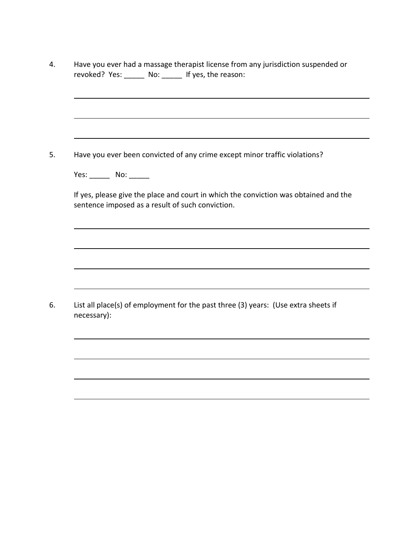|             | Have you ever had a massage therapist license from any jurisdiction suspended or<br>revoked? Yes: ______ No: ______ If yes, the reason:  |
|-------------|------------------------------------------------------------------------------------------------------------------------------------------|
|             |                                                                                                                                          |
|             |                                                                                                                                          |
|             | Have you ever been convicted of any crime except minor traffic violations?                                                               |
|             | Yes: ________________ No: _________                                                                                                      |
|             | If yes, please give the place and court in which the conviction was obtained and the<br>sentence imposed as a result of such conviction. |
|             |                                                                                                                                          |
|             |                                                                                                                                          |
|             |                                                                                                                                          |
| necessary): | List all place(s) of employment for the past three (3) years: (Use extra sheets if                                                       |
|             |                                                                                                                                          |
|             |                                                                                                                                          |
|             |                                                                                                                                          |
|             |                                                                                                                                          |